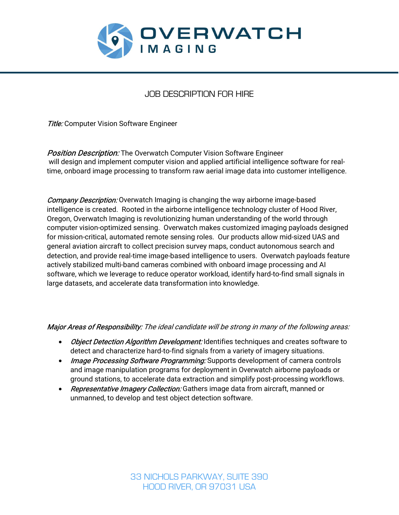

# JOB DESCRIPTION FOR HIRE

**Title:** Computer Vision Software Engineer

**Position Description:** The Overwatch Computer Vision Software Engineer will design and implement computer vision and applied artificial intelligence software for realtime, onboard image processing to transform raw aerial image data into customer intelligence.

**Company Description:** Overwatch Imaging is changing the way airborne image-based intelligence is created. Rooted in the airborne intelligence technology cluster of Hood River, Oregon, Overwatch Imaging is revolutionizing human understanding of the world through computer vision-optimized sensing. Overwatch makes customized imaging payloads designed for mission-critical, automated remote sensing roles. Our products allow mid-sized UAS and general aviation aircraft to collect precision survey maps, conduct autonomous search and detection, and provide real-time image-based intelligence to users. Overwatch payloads feature actively stabilized multi-band cameras combined with onboard image processing and AI software, which we leverage to reduce operator workload, identify hard-to-find small signals in large datasets, and accelerate data transformation into knowledge.

## Major Areas of Responsibility: The ideal candidate will be strong in many of the following areas:

- *Object Detection Algorithm Development:* Identifies techniques and creates software to detect and characterize hard-to-find signals from a variety of imagery situations.
- Image Processing Software Programming: Supports development of camera controls and image manipulation programs for deployment in Overwatch airborne payloads or ground stations, to accelerate data extraction and simplify post-processing workflows.
- Representative Imagery Collection: Gathers image data from aircraft, manned or unmanned, to develop and test object detection software.

33 NICHOLS PARKWAY, SUITE 390 HOOD RIVER, OR 97031 USA